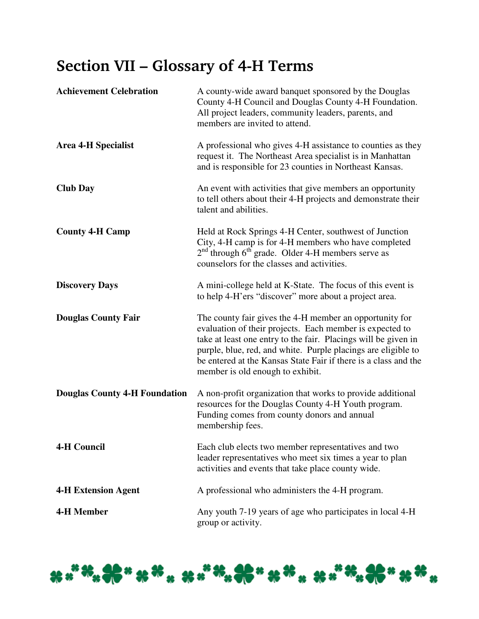## Section VII – Glossary of 4-H Terms

| <b>Achievement Celebration</b>       | A county-wide award banquet sponsored by the Douglas<br>County 4-H Council and Douglas County 4-H Foundation.<br>All project leaders, community leaders, parents, and<br>members are invited to attend.                                                                                                                                                       |
|--------------------------------------|---------------------------------------------------------------------------------------------------------------------------------------------------------------------------------------------------------------------------------------------------------------------------------------------------------------------------------------------------------------|
| <b>Area 4-H Specialist</b>           | A professional who gives 4-H assistance to counties as they<br>request it. The Northeast Area specialist is in Manhattan<br>and is responsible for 23 counties in Northeast Kansas.                                                                                                                                                                           |
| <b>Club Day</b>                      | An event with activities that give members an opportunity<br>to tell others about their 4-H projects and demonstrate their<br>talent and abilities.                                                                                                                                                                                                           |
| <b>County 4-H Camp</b>               | Held at Rock Springs 4-H Center, southwest of Junction<br>City, 4-H camp is for 4-H members who have completed<br>$2nd$ through 6 <sup>th</sup> grade. Older 4-H members serve as<br>counselors for the classes and activities.                                                                                                                               |
| <b>Discovery Days</b>                | A mini-college held at K-State. The focus of this event is<br>to help 4-H'ers "discover" more about a project area.                                                                                                                                                                                                                                           |
| <b>Douglas County Fair</b>           | The county fair gives the 4-H member an opportunity for<br>evaluation of their projects. Each member is expected to<br>take at least one entry to the fair. Placings will be given in<br>purple, blue, red, and white. Purple placings are eligible to<br>be entered at the Kansas State Fair if there is a class and the<br>member is old enough to exhibit. |
| <b>Douglas County 4-H Foundation</b> | A non-profit organization that works to provide additional<br>resources for the Douglas County 4-H Youth program.<br>Funding comes from county donors and annual<br>membership fees.                                                                                                                                                                          |
| <b>4-H Council</b>                   | Each club elects two member representatives and two<br>leader representatives who meet six times a year to plan<br>activities and events that take place county wide.                                                                                                                                                                                         |
| <b>4-H Extension Agent</b>           | A professional who administers the 4-H program.                                                                                                                                                                                                                                                                                                               |
| <b>4-H Member</b>                    | Any youth 7-19 years of age who participates in local 4-H<br>group or activity.                                                                                                                                                                                                                                                                               |

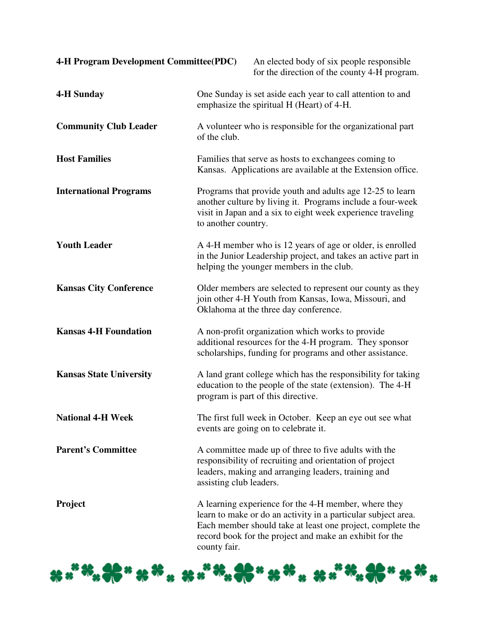| 4-H Program Development Committee(PDC) |                         | An elected body of six people responsible<br>for the direction of the county 4-H program.                                                                                                                                                      |
|----------------------------------------|-------------------------|------------------------------------------------------------------------------------------------------------------------------------------------------------------------------------------------------------------------------------------------|
| <b>4-H Sunday</b>                      |                         | One Sunday is set aside each year to call attention to and<br>emphasize the spiritual H (Heart) of 4-H.                                                                                                                                        |
| <b>Community Club Leader</b>           | of the club.            | A volunteer who is responsible for the organizational part                                                                                                                                                                                     |
| <b>Host Families</b>                   |                         | Families that serve as hosts to exchangees coming to<br>Kansas. Applications are available at the Extension office.                                                                                                                            |
| <b>International Programs</b>          | to another country.     | Programs that provide youth and adults age 12-25 to learn<br>another culture by living it. Programs include a four-week<br>visit in Japan and a six to eight week experience traveling                                                         |
| <b>Youth Leader</b>                    |                         | A 4-H member who is 12 years of age or older, is enrolled<br>in the Junior Leadership project, and takes an active part in<br>helping the younger members in the club.                                                                         |
| <b>Kansas City Conference</b>          |                         | Older members are selected to represent our county as they<br>join other 4-H Youth from Kansas, Iowa, Missouri, and<br>Oklahoma at the three day conference.                                                                                   |
| <b>Kansas 4-H Foundation</b>           |                         | A non-profit organization which works to provide<br>additional resources for the 4-H program. They sponsor<br>scholarships, funding for programs and other assistance.                                                                         |
| <b>Kansas State University</b>         |                         | A land grant college which has the responsibility for taking<br>education to the people of the state (extension). The 4-H<br>program is part of this directive.                                                                                |
| <b>National 4-H Week</b>               |                         | The first full week in October. Keep an eye out see what<br>events are going on to celebrate it.                                                                                                                                               |
| <b>Parent's Committee</b>              | assisting club leaders. | A committee made up of three to five adults with the<br>responsibility of recruiting and orientation of project<br>leaders, making and arranging leaders, training and                                                                         |
| Project                                | county fair.            | A learning experience for the 4-H member, where they<br>learn to make or do an activity in a particular subject area.<br>Each member should take at least one project, complete the<br>record book for the project and make an exhibit for the |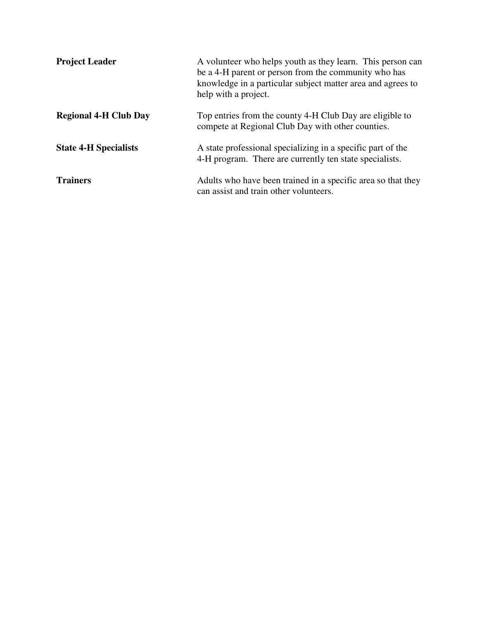| <b>Project Leader</b>        | A volunteer who helps youth as they learn. This person can<br>be a 4-H parent or person from the community who has<br>knowledge in a particular subject matter area and agrees to<br>help with a project. |
|------------------------------|-----------------------------------------------------------------------------------------------------------------------------------------------------------------------------------------------------------|
| <b>Regional 4-H Club Day</b> | Top entries from the county 4-H Club Day are eligible to<br>compete at Regional Club Day with other counties.                                                                                             |
| <b>State 4-H Specialists</b> | A state professional specializing in a specific part of the<br>4-H program. There are currently ten state specialists.                                                                                    |
| <b>Trainers</b>              | Adults who have been trained in a specific area so that they<br>can assist and train other volunteers.                                                                                                    |